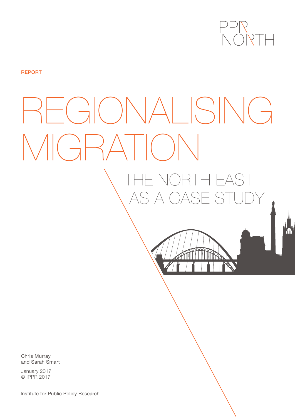

**REPORT** 

# REGIONALISING MIGRATION THE NORTH EAST AS A CASE STUDY

Chris Murray and Sarah Smart

January 2017 © IPPR 2017

Institute for Public Policy Research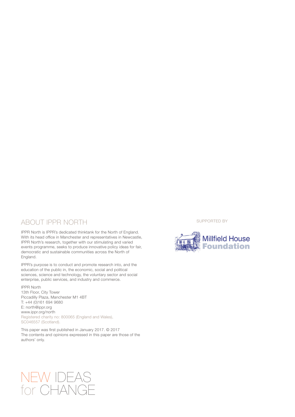#### ABOUT IPPR NORTH

IPPR North is IPPR's dedicated thinktank for the North of England. With its head office in Manchester and representatives in Newcastle, IPPR North's research, together with our stimulating and varied events programme, seeks to produce innovative policy ideas for fair, democratic and sustainable communities across the North of England.

IPPR's purpose is to conduct and promote research into, and the education of the public in, the economic, social and political sciences, science and technology, the voluntary sector and social enterprise, public services, and industry and commerce.

#### IPPR North

13th Floor, City Tower Piccadilly Plaza, Manchester M1 4BT T: +44 (0)161 694 9680 E: north@ippr.org www.ippr.org/north Registered charity no: 800065 (England and Wales), SC046557 (Scotland).

This paper was first published in January 2017. © 2017 The contents and opinions expressed in this paper are those of the authors' only.

SUPPORTED BY



# NEW IDEAS for CHANGE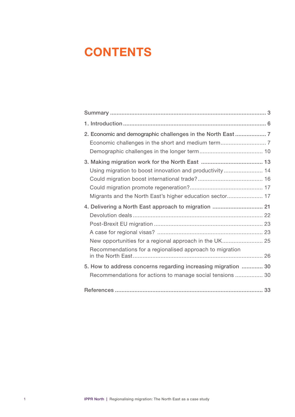# **CONTENTS**

| 2. Economic and demographic challenges in the North East  7                                                                                                                |  |
|----------------------------------------------------------------------------------------------------------------------------------------------------------------------------|--|
| Using migration to boost innovation and productivity  14<br>Migrants and the North East's higher education sector 17                                                       |  |
| 4. Delivering a North East approach to migration  21<br>New opportunities for a regional approach in the UK 25<br>Recommendations for a regionalised approach to migration |  |
| 5. How to address concerns regarding increasing migration  30<br>Recommendations for actions to manage social tensions  30                                                 |  |
|                                                                                                                                                                            |  |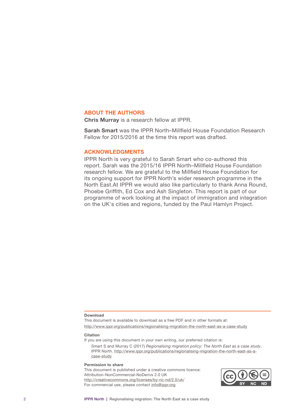#### ABOUT THE AUTHORS

Chris Murray is a research fellow at IPPR.

Sarah Smart was the IPPR North–Millfield House Foundation Research Fellow for 2015/2016 at the time this report was drafted.

#### ACKNOWLEDGMENTS

IPPR North is very grateful to Sarah Smart who co-authored this report. Sarah was the 2015/16 IPPR North–Millfield House Foundation research fellow. We are grateful to the Millfield House Foundation for its ongoing support for IPPR North's wider research programme in the North East.At IPPR we would also like particularly to thank Anna Round, Phoebe Griffith, Ed Cox and Ash Singleton. This report is part of our programme of work looking at the impact of immigration and integration on the UK's cities and regions, funded by the Paul Hamlyn Project.

#### Download

This document is available to download as a free PDF and in other formats at: [http://www.ippr.org/publications/r](http://www.ippr.org/publications/regionalising-migration-the-north-east-as-a-case-study)egionalising-migration-the-north-east-as-a-case-study

#### **Citation**

If you are using this document in your own writing, our preferred citation is:

Smart S and Murray C (2017) *Regionalising migration policy: The North East as a case study*, IPPR North. [http://www.ippr.org/publications/regionalising-migration-the-north-east-as-a](http://www.ippr.org/publications/regionalising-migration-the-north-east-as-a-case-study)[case-study](http://www.ippr.org/publications/regionalising-migration-the-north-east-as-a-case-study)

#### Permission to share

This document is published under a creative commons licence: Attribution-NonCommercial-NoDerivs 2.0 UK <http://creativecommons.org/licenses/by-nc-nd/2.0/uk/> For commercial use, please contact<info@ippr.org>

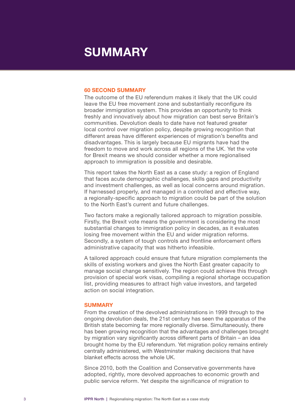# <span id="page-4-0"></span>SUMMARY

#### 60 SECOND SUMMARY

The outcome of the EU referendum makes it likely that the UK could leave the EU free movement zone and substantially reconfigure its broader immigration system. This provides an opportunity to think freshly and innovatively about how migration can best serve Britain's communities. Devolution deals to date have not featured greater local control over migration policy, despite growing recognition that different areas have different experiences of migration's benefits and disadvantages. This is largely because EU migrants have had the freedom to move and work across all regions of the UK. Yet the vote for Brexit means we should consider whether a more regionalised approach to immigration is possible and desirable.

This report takes the North East as a case study: a region of England that faces acute demographic challenges, skills gaps and productivity and investment challenges, as well as local concerns around migration. If harnessed properly, and managed in a controlled and effective way, a regionally-specific approach to migration could be part of the solution to the North East's current and future challenges.

Two factors make a regionally tailored approach to migration possible. Firstly, the Brexit vote means the government is considering the most substantial changes to immigration policy in decades, as it evaluates losing free movement within the EU and wider migration reforms. Secondly, a system of tough controls and frontline enforcement offers administrative capacity that was hitherto infeasible.

A tailored approach could ensure that future migration complements the skills of existing workers and gives the North East greater capacity to manage social change sensitively. The region could achieve this through provision of special work visas, compiling a regional shortage occupation list, providing measures to attract high value investors, and targeted action on social integration.

#### **SUMMARY**

From the creation of the devolved administrations in 1999 through to the ongoing devolution deals, the 21st century has seen the apparatus of the British state becoming far more regionally diverse. Simultaneously, there has been growing recognition that the advantages and challenges brought by migration vary significantly across different parts of Britain – an idea brought home by the EU referendum. Yet migration policy remains entirely centrally administered, with Westminster making decisions that have blanket effects across the whole UK.

Since 2010, both the Coalition and Conservative governments have adopted, rightly, more devolved approaches to economic growth and public service reform. Yet despite the significance of migration to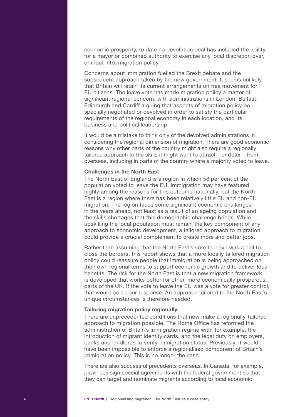economic prosperity, to date no devolution deal has included the ability for a mayor or combined authority to exercise any local discretion over, or input into, migration policy.

Concerns about immigration fuelled the Brexit debate and the subsequent approach taken by the new government. It seems unlikely that Britain will retain its current arrangements on free movement for EU citizens. The leave vote has made migration policy a matter of significant regional concern, with administrations in London, Belfast, Edinburgh and Cardiff arguing that aspects of migration policy be specially negotiated or devolved in order to satisfy the particular requirements of the regional economy in each location, and its business and political leadership.

It would be a mistake to think only of the devolved administrations in considering the regional dimension of migration. There are good economic reasons why other parts of the country might also require a regionally tailored approach to the skills it might want to attract – or deter – from overseas, including in parts of the country where a majority voted to leave.

#### Challenges in the North East

The North East of England is a region in which 58 per cent of the population voted to leave the EU. Immigration may have featured highly among the reasons for this outcome nationally, but the North East is a region where there has been relatively little EU and non-EU migration. The region faces some significant economic challenges in the years ahead, not least as a result of an ageing population and the skills shortages that this demographic challenge brings. While upskilling the local population must remain the key component of any approach to economic development, a tailored approach to migration could provide a crucial complement to create more and better jobs.

Rather than assuming that the North East's vote to leave was a call to close the borders, this report shows that a more locally tailored migration policy could reassure people that immigration is being approached on their own regional terms to support economic growth and to deliver local benefits. The risk for the North East is that a new migration framework is developed that works better for other, more economically prosperous, parts of the UK. If the vote to leave the EU was a vote for greater control, that would be a poor response. An approach tailored to the North East's unique circumstances is therefore needed.

#### Tailoring migration policy regionally

There are unprecedented conditions that now make a regionally-tailored approach to migration possible. The Home Office has reformed the administration of Britain's immigration regime with, for example, the introduction of migrant identity cards, and the legal duty on employers, banks and landlords to verify immigration status. Previously, it would have been impossible to enforce a regionalised component of Britain's immigration policy. This is no longer the case.

There are also successful precedents overseas. In Canada, for example, provinces sign special agreements with the federal government so that they can target and nominate migrants according to local economic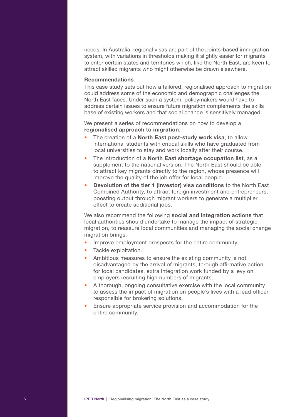needs. In Australia, regional visas are part of the points-based immigration system, with variations in thresholds making it slightly easier for migrants to enter certain states and territories which, like the North East, are keen to attract skilled migrants who might otherwise be drawn elsewhere.

#### Recommendations

This case study sets out how a tailored, regionalised approach to migration could address some of the economic and demographic challenges the North East faces. Under such a system, policymakers would have to address certain issues to ensure future migration complements the skills base of existing workers and that social change is sensitively managed.

We present a series of recommendations on how to develop a regionalised approach to migration:

- The creation of a **North East post-study work visa**, to allow international students with critical skills who have graduated from local universities to stay and work locally after their course.
- The introduction of a North East shortage occupation list, as a supplement to the national version. The North East should be able to attract key migrants directly to the region, whose presence will improve the quality of the job offer for local people.
- **Devolution of the tier 1 (investor) visa conditions to the North East** Combined Authority, to attract foreign investment and entrepreneurs, boosting output through migrant workers to generate a multiplier effect to create additional jobs.

We also recommend the following social and integration actions that local authorities should undertake to manage the impact of strategic migration, to reassure local communities and managing the social change migration brings.

- Improve employment prospects for the entire community.
- Tackle exploitation.
- Ambitious measures to ensure the existing community is not disadvantaged by the arrival of migrants, through affirmative action for local candidates, extra integration work funded by a levy on employers recruiting high numbers of migrants.
- A thorough, ongoing consultative exercise with the local community to assess the impact of migration on people's lives with a lead officer responsible for brokering solutions.
- Ensure appropriate service provision and accommodation for the entire community.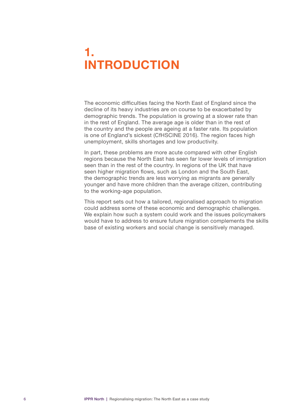# <span id="page-7-0"></span>1. INTRODUCTION

The economic difficulties facing the North East of England since the decline of its heavy industries are on course to be exacerbated by demographic trends. The population is growing at a slower rate than in the rest of England. The average age is older than in the rest of the country and the people are ageing at a faster rate. Its population is one of England's sickest (CfHSCINE 2016). The region faces high unemployment, skills shortages and low productivity.

In part, these problems are more acute compared with other English regions because the North East has seen far lower levels of immigration seen than in the rest of the country. In regions of the UK that have seen higher migration flows, such as London and the South East, the demographic trends are less worrying as migrants are generally younger and have more children than the average citizen, contributing to the working-age population.

This report sets out how a tailored, regionalised approach to migration could address some of these economic and demographic challenges. We explain how such a system could work and the issues policymakers would have to address to ensure future migration complements the skills base of existing workers and social change is sensitively managed.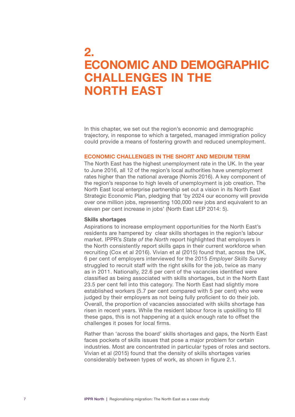## <span id="page-8-0"></span>2. ECONOMIC AND DEMOGRAPHIC CHALLENGES IN THE NORTH EAST

In this chapter, we set out the region's economic and demographic trajectory, in response to which a targeted, managed immigration policy could provide a means of fostering growth and reduced unemployment.

#### ECONOMIC CHALLENGES IN THE SHORT AND MEDIUM TERM

The North East has the highest unemployment rate in the UK. In the year to June 2016, all 12 of the region's local authorities have unemployment rates higher than the national average (Nomis 2016). A key component of the region's response to high levels of unemployment is job creation. The North East local enterprise partnership set out a vision in its North East Strategic Economic Plan, pledging that 'by 2024 our economy will provide over one million jobs, representing 100,000 new jobs and equivalent to an eleven per cent increase in jobs' (North East LEP 2014: 5).

#### Skills shortages

Aspirations to increase employment opportunities for the North East's residents are hampered by clear skills shortages in the region's labour market. IPPR's *State of the North* report highlighted that employers in the North consistently report skills gaps in their current workforce when recruiting (Cox et al 2016). Vivian et al (2015) found that, across the UK, 6 per cent of employers interviewed for the 2015 *Employer Skills Survey*  struggled to recruit staff with the right skills for the job, twice as many as in 2011. Nationally, 22.6 per cent of the vacancies identified were classified as being associated with skills shortages, but in the North East 23.5 per cent fell into this category. The North East had slightly more established workers (5.7 per cent compared with 5 per cent) who were judged by their employers as not being fully proficient to do their job. Overall, the proportion of vacancies associated with skills shortage has risen in recent years. While the resident labour force is upskilling to fill these gaps, this is not happening at a quick enough rate to offset the challenges it poses for local firms.

Rather than 'across the board' skills shortages and gaps, the North East faces pockets of skills issues that pose a major problem for certain industries. Most are concentrated in particular types of roles and sectors. Vivian et al (2015) found that the density of skills shortages varies considerably between types of work, as shown in figure 2.1.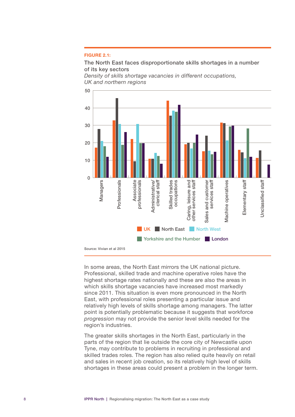#### FIGURE 2.1:

The North East faces disproportionate skills shortages in a number of its key sectors

*Density of skills shortage vacancies in different occupations, UK and northern regions*



Source: Vivian et al 2015

In some areas, the North East mirrors the UK national picture. Professional, skilled trade and machine operative roles have the highest shortage rates nationally and these are also the areas in which skills shortage vacancies have increased most markedly since 2011. This situation is even more pronounced in the North East, with professional roles presenting a particular issue and relatively high levels of skills shortage among managers. The latter point is potentially problematic because it suggests that workforce *progression* may not provide the senior level skills needed for the region's industries.

The greater skills shortages in the North East, particularly in the parts of the region that lie outside the core city of Newcastle upon Tyne, may contribute to problems in recruiting in professional and skilled trades roles. The region has also relied quite heavily on retail and sales in recent job creation, so its relatively high level of skills shortages in these areas could present a problem in the longer term.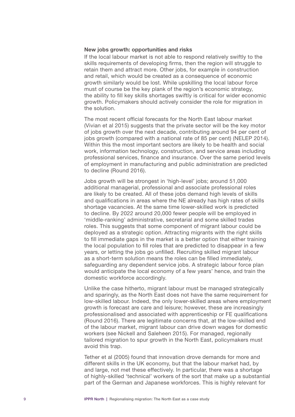#### New jobs growth: opportunities and risks

If the local labour market is not able to respond relatively swiftly to the skills requirements of developing firms, then the region will struggle to retain them and attract more. Other jobs, for example in construction and retail, which would be created as a consequence of economic growth similarly would be lost. While upskilling the local labour force must of course be the key plank of the region's economic strategy, the ability to fill key skills shortages swiftly is critical for wider economic growth. Policymakers should actively consider the role for migration in the solution.

The most recent official forecasts for the North East labour market (Vivian et al 2015) suggests that the private sector will be the key motor of jobs growth over the next decade, contributing around 94 per cent of jobs growth (compared with a national rate of 85 per cent) (NELEP 2014). Within this the most important sectors are likely to be health and social work, information technology, construction, and service areas including professional services, finance and insurance. Over the same period levels of employment in manufacturing and public administration are predicted to decline (Round 2016).

Jobs growth will be strongest in 'high-level' jobs; around 51,000 additional managerial, professional and associate professional roles are likely to be created. All of these jobs demand high levels of skills and qualifications in areas where the NE already has high rates of skills shortage vacancies. At the same time lower-skilled work is predicted to decline. By 2022 around 20,000 fewer people will be employed in 'middle-ranking' administrative, secretarial and some skilled trades roles. This suggests that some component of migrant labour could be deployed as a strategic option. Attracting migrants with the right skills to fill immediate gaps in the market is a better option that either training the local population to fill roles that are predicted to disappear in a few years, or letting the jobs go unfilled. Recruiting skilled migrant labour as a short-term solution means the roles can be filled immediately, safeguarding any dependent service jobs. A strategic labour force plan would anticipate the local economy of a few years' hence, and train the domestic workforce accordingly.

Unlike the case hitherto, migrant labour must be managed strategically and sparingly, as the North East does not have the same requirement for low-skilled labour. Indeed, the only lower-skilled areas where employment growth is forecast are care and leisure; however, these are increasingly professionalised and associated with apprenticeship or FE qualifications (Round 2016). There are legitimate concerns that, at the low-skilled end of the labour market, migrant labour can drive down wages for domestic workers (see Nickell and Saleheen 2015). For managed, regionally tailored migration to spur growth in the North East, policymakers must avoid this trap.

Tether et al (2005) found that innovation drove demands for more and different skills in the UK economy, but that the labour market had, by and large, not met these effectively. In particular, there was a shortage of highly-skilled 'technical' workers of the sort that make up a substantial part of the German and Japanese workforces. This is highly relevant for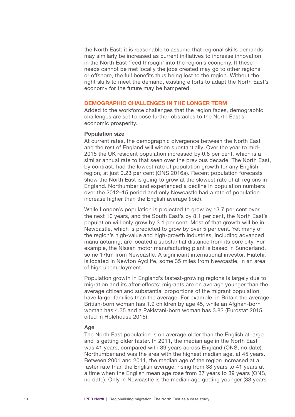<span id="page-11-0"></span>the North East: it is reasonable to assume that regional skills demands may similarly be increased as current initiatives to increase innovation in the North East 'feed through' into the region's economy. If these needs cannot be met locally the jobs created may go to other regions or offshore, the full benefits thus being lost to the region. Without the right skills to meet the demand, existing efforts to adapt the North East's economy for the future may be hampered.

#### DEMOGRAPHIC CHALLENGES IN THE LONGER TERM

Added to the workforce challenges that the region faces, demographic challenges are set to pose further obstacles to the North East's economic prosperity.

#### Population size

At current rates, the demographic divergence between the North East and the rest of England will widen substantially. Over the year to mid-2015 the UK resident population increased by 0.8 per cent, which is a similar annual rate to that seen over the previous decade. The North East, by contrast, had the lowest rate of population growth for any English region, at just 0.23 per cent (ONS 2016a). Recent population forecasts show the North East is going to grow at the slowest rate of all regions in England. Northumberland experienced a decline in population numbers over the 2012–15 period and only Newcastle had a rate of population increase higher than the English average (ibid).

While London's population is projected to grow by 13.7 per cent over the next 10 years, and the South East's by 8.1 per cent, the North East's population will only grow by 3.1 per cent. Most of that growth will be in Newcastle, which is predicted to grow by over 5 per cent. Yet many of the region's high-value and high-growth industries, including advanced manufacturing, are located a substantial distance from its core city. For example, the Nissan motor manufacturing plant is based in Sunderland, some 17km from Newcastle. A significant international investor, Hiatchi, is located in Newton Aycliffe, some 35 miles from Newcastle, in an area of high unemployment.

Population growth in England's fastest-growing regions is largely due to migration and its after-effects: migrants are on average younger than the average citizen and substantial proportions of the migrant population have larger families than the average. For example, in Britain the average British-born woman has 1.9 children by age 45, while an Afghan-born woman has 4.35 and a Pakistani-born woman has 3.82 (Eurostat 2015, cited in Holehouse 2015).

#### Age

The North East population is on average older than the English at large and is getting older faster. In 2011, the median age in the North East was 41 years, compared with 39 years across England (ONS, no date). Northumberland was the area with the highest median age, at 45 years. Between 2001 and 2011, the median age of the region increased at a faster rate than the English average, rising from 38 years to 41 years at a time when the English mean age rose from 37 years to 39 years (ONS, no date). Only in Newcastle is the median age getting younger (33 years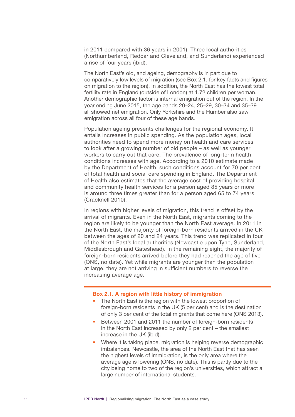in 2011 compared with 36 years in 2001). Three local authorities (Northumberland, Redcar and Cleveland, and Sunderland) experienced a rise of four years (ibid).

The North East's old, and ageing, demography is in part due to comparatively low levels of migration (see Box 2.1. for key facts and figures on migration to the region). In addition, the North East has the lowest total fertility rate in England (outside of London) at 1.72 children per woman. Another demographic factor is internal emigration out of the region. In the year ending June 2015, the age bands 20–24, 25–29, 30–34 and 35–39 all showed net emigration. Only Yorkshire and the Humber also saw emigration across all four of these age bands.

Population ageing presents challenges for the regional economy. It entails increases in public spending. As the population ages, local authorities need to spend more money on health and care services to look after a growing number of old people – as well as younger workers to carry out that care. The prevalence of long-term health conditions increases with age. According to a 2010 estimate made by the Department of Health, such conditions account for 70 per cent of total health and social care spending in England. The Department of Health also estimates that the average cost of providing hospital and community health services for a person aged 85 years or more is around three times greater than for a person aged 65 to 74 years (Cracknell 2010).

In regions with higher levels of migration, this trend is offset by the arrival of migrants. Even in the North East, migrants coming to the region are likely to be younger than the North East average. In 2011 in the North East, the majority of foreign-born residents arrived in the UK between the ages of 20 and 24 years. This trend was replicated in four of the North East's local authorities (Newcastle upon Tyne, Sunderland, Middlesbrough and Gateshead). In the remaining eight, the majority of foreign-born residents arrived before they had reached the age of five (ONS, no date). Yet while migrants are younger than the population at large, they are not arriving in sufficient numbers to reverse the increasing average age.

#### Box 2.1. A region with little history of immigration

- The North East is the region with the lowest proportion of foreign-born residents in the UK (5 per cent) and is the destination of only 3 per cent of the total migrants that come here (ONS 2013).
- Between 2001 and 2011 the number of foreign-born residents in the North East increased by only 2 per cent – the smallest increase in the UK (ibid).
- Where it is taking place, migration is helping reverse demographic imbalances. Newcastle, the area of the North East that has seen the highest levels of immigration, is the only area where the average age is lowering (ONS, no date). This is partly due to the city being home to two of the region's universities, which attract a large number of international students.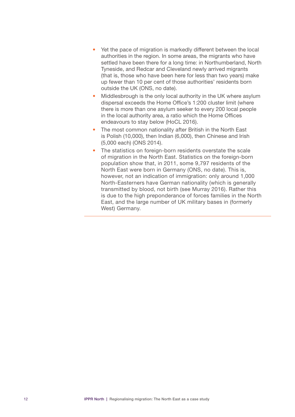- Yet the pace of migration is markedly different between the local authorities in the region. In some areas, the migrants who have settled have been there for a long time: in Northumberland, North Tyneside, and Redcar and Cleveland newly arrived migrants (that is, those who have been here for less than two years) make up fewer than 10 per cent of those authorities' residents born outside the UK (ONS, no date).
- Middlesbrough is the only local authority in the UK where asylum dispersal exceeds the Home Office's 1:200 cluster limit (where there is more than one asylum seeker to every 200 local people in the local authority area, a ratio which the Home Offices endeavours to stay below (HoCL 2016).
- The most common nationality after British in the North East is Polish (10,000), then Indian (6,000), then Chinese and Irish (5,000 each) (ONS 2014).
- The statistics on foreign-born residents overstate the scale of migration in the North East. Statistics on the foreign-born population show that, in 2011, some 9,797 residents of the North East were born in Germany (ONS, no date). This is, however, not an indication of immigration: only around 1,000 North-Easterners have German nationality (which is generally transmitted by blood, not birth (see Murray 2016). Rather this is due to the high preponderance of forces families in the North East, and the large number of UK military bases in (formerly West) Germany.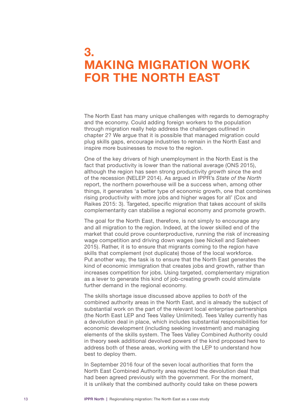# <span id="page-14-0"></span>3. MAKING MIGRATION WORK FOR THE NORTH EAST

The North East has many unique challenges with regards to demography and the economy. Could adding foreign workers to the population through migration really help address the challenges outlined in chapter 2? We argue that it is possible that managed migration could plug skills gaps, encourage industries to remain in the North East and inspire more businesses to move to the region.

One of the key drivers of high unemployment in the North East is the fact that productivity is lower than the national average (ONS 2015), although the region has seen strong productivity *growth* since the end of the recession (NELEP 2014). As argued in IPPR's *State of the North* report, the northern powerhouse will be a success when, among other things, it generates 'a better type of economic growth, one that combines rising productivity with more jobs and higher wages for all' (Cox and Raikes 2015: 3). Targeted, specific migration that takes account of skills complementarity can stabilise a regional economy and promote growth.

The goal for the North East, therefore, is not simply to encourage any and all migration to the region. Indeed, at the lower skilled end of the market that could prove counterproductive, running the risk of increasing wage competition and driving down wages (see Nickell and Saleheen 2015). Rather, it is to ensure that migrants coming to the region have skills that complement (not duplicate) those of the local workforce. Put another way, the task is to ensure that the North East generates the kind of economic immigration that creates jobs and growth, rather than increases competition for jobs. Using targeted, complementary migration as a lever to generate this kind of job-creating growth could stimulate further demand in the regional economy.

The skills shortage issue discussed above applies to *both* of the combined authority areas in the North East, and is already the subject of substantial work on the part of the relevant local enterprise partnerships (the North East LEP and Tees Valley Unlimited). Tees Valley currently has a devolution deal in place, which includes substantial responsibilities for economic development (including seeking investment) and managing elements of the skills system. The Tees Valley Combined Authority could in theory seek additional devolved powers of the kind proposed here to address both of these areas, working with the LEP to understand how best to deploy them.

In September 2016 four of the seven local authorities that form the North East Combined Authority area rejected the devolution deal that had been agreed previously with the government. For the moment, it is unlikely that the combined authority could take on these powers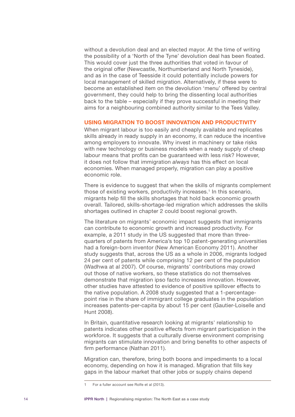<span id="page-15-0"></span>without a devolution deal and an elected mayor. At the time of writing the possibility of a 'North of the Tyne' devolution deal has been floated. This would cover just the three authorities that voted in favour of the original offer (Newcastle, Northumberland and North Tyneside), and as in the case of Teesside it could potentially include powers for local management of skilled migration. Alternatively, if these were to become an established item on the devolution 'menu' offered by central government, they could help to bring the dissenting local authorities back to the table – especially if they prove successful in meeting their aims for a neighbouring combined authority similar to the Tees Valley.

#### USING MIGRATION TO BOOST INNOVATION AND PRODUCTIVITY

When migrant labour is too easily and cheaply available and replicates skills already in ready supply in an economy, it can reduce the incentive among employers to innovate. Why invest in machinery or take risks with new technology or business models when a ready supply of cheap labour means that profits can be guaranteed with less risk? However, it does not follow that immigration *always* has this effect on local economies. When managed properly, migration can play a positive economic role.

There is evidence to suggest that when the skills of migrants complement those of existing workers, productivity increases.<sup>1</sup> In this scenario, migrants help fill the skills shortages that hold back economic growth overall. Tailored, skills-shortage-led migration which addresses the skills shortages outlined in chapter 2 could boost regional growth.

The literature on migrants' economic impact suggests that immigrants can contribute to economic growth and increased productivity. For example, a 2011 study in the US suggested that more than threequarters of patents from America's top 10 patent-generating universities had a foreign-born inventor (New American Economy 2011). Another study suggests that, across the US as a whole in 2006, migrants lodged 24 per cent of patents while comprising 12 per cent of the population (Wadhwa at al 2007). Of course, migrants' contributions may crowd out those of native workers, so these statistics do not themselves demonstrate that migration ipso facto increases innovation. However, other studies have attested to evidence of positive spillover effects to the native population. A 2008 study suggested that a 1-percentagepoint rise in the share of immigrant college graduates in the population increases patents-per-capita by about 15 per cent (Gautier-Loiselle and Hunt 2008).

In Britain, quantitative research looking at migrants' relationship to patents indicates other positive effects from migrant participation in the workforce. It suggests that a culturally diverse environment comprising migrants can stimulate innovation and bring benefits to other aspects of firm performance (Nathan 2011).

Migration can, therefore, bring both boons and impediments to a local economy, depending on how it is managed. Migration that fills key gaps in the labour market that other jobs or supply chains depend

For a fuller account see Rolfe et al (2013).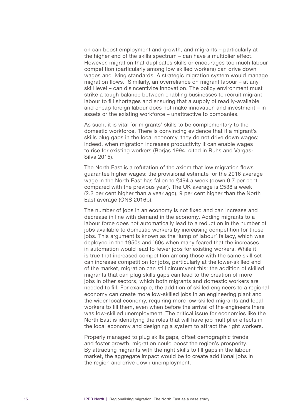on can boost employment and growth, and migrants – particularly at the higher end of the skills spectrum – can have a multiplier effect. However, migration that duplicates skills or encourages too much labour competition (particularly among low skilled workers) can drive down wages and living standards. A strategic migration system would manage migration flows. Similarly, an overreliance on migrant labour – at any skill level – can disincentivize innovation. The policy environment must strike a tough balance between enabling businesses to recruit migrant labour to fill shortages and ensuring that a supply of readily-available and cheap foreign labour does not make innovation and investment – in assets or the existing workforce – unattractive to companies.

As such, it is vital for migrants' skills to be complementary to the domestic workforce. There is convincing evidence that if a migrant's skills plug gaps in the local economy, they do not drive down wages; indeed, when migration increases productivity it can enable wages to rise for existing workers (Borjas 1994, cited in Ruhs and Vargas-Silva 2015).

The North East is a refutation of the axiom that low migration flows guarantee higher wages: the provisional estimate for the 2016 average wage in the North East has fallen to £494 a week (down 0.7 per cent compared with the previous year). The UK average is £538 a week (2.2 per cent higher than a year ago), 9 per cent higher than the North East average (ONS 2016b).

The number of jobs in an economy is not fixed and can increase and decrease in line with demand in the economy. Adding migrants to a labour force does not automatically lead to a reduction in the number of jobs available to domestic workers by increasing competition for those jobs. This argument is known as the 'lump of labour' fallacy, which was deployed in the 1950s and '60s when many feared that the increases in automation would lead to fewer jobs for existing workers. While it is true that increased competition among those with the same skill set can increase competition for jobs, particularly at the lower-skilled end of the market, migration can still circumvent this: the addition of skilled migrants that can plug skills gaps can lead to the creation of more jobs in other sectors, which both migrants and domestic workers are needed to fill. For example, the addition of skilled engineers to a regional economy can create more low-skilled jobs in an engineering plant and the wider local economy, requiring more low-skilled migrants and local workers to fill them, even when before the arrival of the engineers there was low-skilled unemployment. The critical issue for economies like the North East is identifying the roles that will have job multiplier effects in the local economy and designing a system to attract the right workers.

Properly managed to plug skills gaps, offset demographic trends and foster growth, migration could boost the region's prosperity. By attracting migrants with the right skills to fill gaps in the labour market, the aggregate impact would be to create additional jobs in the region and drive down unemployment.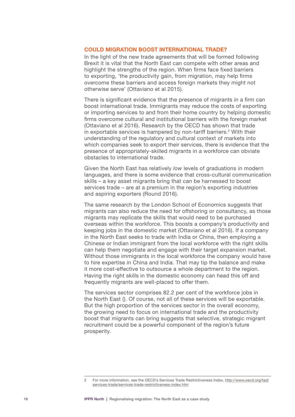#### <span id="page-17-0"></span>COULD MIGRATION BOOST INTERNATIONAL TRADE?

In the light of the new trade agreements that will be formed following Brexit it is vital that the North East can compete with other areas and highlight the strengths of the region. When firms face fixed barriers to exporting, 'the productivity gain, from migration, may help firms overcome these barriers and access foreign markets they might not otherwise serve' (Ottaviano et al 2015).

There is significant evidence that the presence of migrants in a firm can boost international trade. Immigrants may reduce the costs of exporting or importing services to and from their home country by helping domestic firms overcome cultural and institutional barriers with the foreign market (Ottaviano et al 2016). Research by the OECD has shown that trade in exportable services is hampered by non-tariff barriers.<sup>2</sup> With their understanding of the regulatory and cultural context of markets into which companies seek to export their services, there is evidence that the presence of appropriately-skilled migrants in a workforce can obviate obstacles to international trade.

Given the North East has relatively *low* levels of graduations in modern languages, and there is some evidence that cross-cultural communication skills – a key asset migrants bring that can be harnessed to boost services trade – are at a premium in the region's exporting industries and aspiring exporters (Round 2016).

The same research by the London School of Economics suggests that migrants can also reduce the need for offshoring or consultancy, as those migrants may replicate the skills that would need to be purchased overseas within the workforce. This boosts a company's productivity and keeping jobs in the domestic market (Ottaviano et al 2016). If a company in the North East seeks to trade with India or China, then employing a Chinese or Indian immigrant from the local workforce with the right skills can help them negotiate and engage with their target expansion market. Without those immigrants in the local workforce the company would have to hire expertise in China and India. That may tip the balance and make it more cost-effective to outsource a whole department to the region. Having the right skills in the domestic economy can head this off and frequently migrants are well-placed to offer them.

The services sector comprises 82.2 per cent of the workforce jobs in the North East (). Of course, not all of these services will be exportable. But the high proportion of the services sector in the overall economy, the growing need to focus on international trade and the productivity boost that migrants can bring suggests that selective, strategic migrant recruitment could be a powerful component of the region's future prosperity.

<sup>2</sup> For more information, see the OECD's Services Trade Restrictiveness Index, [http://www.oecd.org/tad/](http://www.oecd.org/tad/services-trade/services-trade-restrictiveness-index.htm) [services-trade/services-trade-restrictiveness-index.htm](http://www.oecd.org/tad/services-trade/services-trade-restrictiveness-index.htm)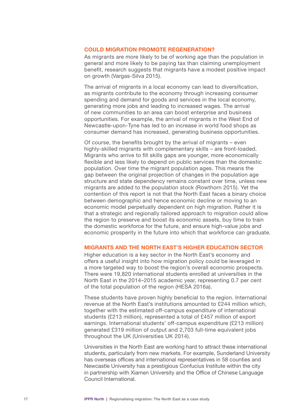#### <span id="page-18-0"></span>COULD MIGRATION PROMOTE REGENERATION?

As migrants are more likely to be of working age than the population in general and more likely to be paying tax than claiming unemployment benefit, research suggests that migrants have a modest positive impact on growth (Vargas-Silva 2015).

The arrival of migrants in a local economy can lead to diversification, as migrants contribute to the economy through increasing consumer spending and demand for goods and services in the local economy, generating more jobs and leading to increased wages. The arrival of new communities to an area can boost enterprise and business opportunities. For example, the arrival of migrants in the West End of Newcastle-upon-Tyne has led to an increase in world food shops as consumer demand has increased, generating business opportunities.

Of course, the benefits brought by the arrival of migrants – even highly-skilled migrants with complementary skills – are front-loaded. Migrants who arrive to fill skills gaps are younger, more economically flexible and less likely to depend on public services than the domestic population. Over time the migrant population ages. This means the gap between the original projection of changes in the population age structure and state dependency remains constant over time, unless new migrants are added to the population stock (Rowthorn 2015). Yet the contention of this report is not that the North East faces a binary choice between demographic and hence economic decline or moving to an economic model perpetually dependent on high migration. Rather it is that a strategic and regionally tailored approach to migration could allow the region to preserve and boost its economic assets, buy time to train the domestic workforce for the future, and ensure high-value jobs and economic prosperity in the future into which that workforce can graduate.

#### MIGRANTS AND THE NORTH EAST'S HIGHER EDUCATION SECTOR

Higher education is a key sector in the North East's economy and offers a useful insight into how migration policy could be leveraged in a more targeted way to boost the region's overall economic prospects. There were 19,820 international students enrolled at universities in the North East in the 2014–2015 academic year, representing 0.7 per cent of the total population of the region (HESA 2016a).

These students have proven highly beneficial to the region. International revenue at the North East's institutions amounted to £244 million which, together with the estimated off-campus expenditure of international students (£213 million), represented a total of £457 million of export earnings. International students' off-campus expenditure (£213 million) generated £319 million of output and 2,703 full-time equivalent jobs throughout the UK (Universities UK 2014).

Universities in the North East are working hard to attract these international students, particularly from new markets. For example, Sunderland University has overseas offices and international representatives in 58 counties and Newcastle University has a prestigious Confucius Institute within the city in partnership with Xiamen University and the Office of Chinese Language Council International.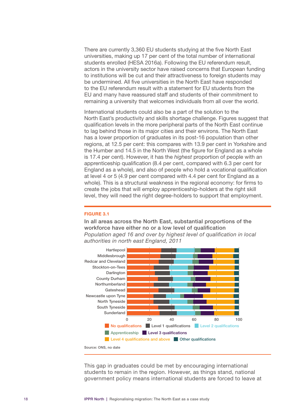There are currently 3,360 EU students studying at the five North East universities, making up 17 per cent of the total number of international students enrolled (HESA 2016a). Following the EU referendum result, actors in the university sector have raised concerns that European funding to institutions will be cut and their attractiveness to foreign students may be undermined. All five universities in the North East have responded to the EU referendum result with a statement for EU students from the EU and many have reassured staff and students of their commitment to remaining a university that welcomes individuals from all over the world.

International students could also be a part of the solution to the North East's productivity and skills shortage challenge. Figures suggest that qualification levels in the more peripheral parts of the North East continue to lag behind those in its major cities and their environs. The North East has a lower proportion of graduates in its post-16 population than other regions, at 12.5 per cent: this compares with 13.9 per cent in Yorkshire and the Humber and 14.5 in the North West (the figure for England as a whole is 17.4 per cent). However, it has the *highest* proportion of people with an apprenticeship qualification (8.4 per cent, compared with 6.3 per cent for England as a whole), and also of people who hold a vocational qualification at level 4 or 5 (4.9 per cent compared with 4.4 per cent for England as a whole). This is a structural weakness in the regional economy: for firms to create the jobs that will employ apprenticeship-holders at the right skill level, they will need the right degree-holders to support that employment.

#### FIGURE 3.1

In all areas across the North East, substantial proportions of the workforce have either no or a low level of qualification *Population aged 16 and over by highest level of qualification in local authorities in north east England, 2011*



Source: ONS, no date

This gap in graduates could be met by encouraging international students to remain in the region. However, as things stand, national government policy means international students are forced to leave at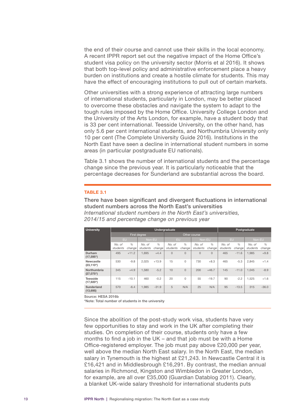the end of their course and cannot use their skills in the local economy. A recent IPPR report set out the negative impact of the Home Office's student visa policy on the university sector (Morris et al 2016). It shows that both top-level policy and administrative enforcement place a heavy burden on institutions and create a hostile climate for students. This may have the effect of encouraging institutions to pull out of certain markets.

Other universities with a strong experience of attracting large numbers of international students, particularly in London, may be better placed to overcome these obstacles and navigate the system to adapt to the tough rules imposed by the Home Office. University College London and the University of the Arts London, for example, have a student body that is 33 per cent international. Teesside University, on the other hand, has only 5.6 per cent international students, and Northumbria University only 10 per cent (The Complete University Guide 2016). Institutions in the North East have seen a decline in international student numbers in some areas (in particular postgraduate EU nationals).

Table 3.1 shows the number of international students and the percentage change since the previous year. It is particularly noticeable that the percentage decreases for Sunderland are substantial across the board.

#### TABLE 3.1

There have been significant and divergent fluctuations in international student numbers across the North East's universities *International student numbers in the North East's universities, 2014/15 and percentage change on previous year*

| <b>University</b>          | Undergraduate      |                         |                    |                         |                    |                         |                    | Postgraduate            |                    |                         |                    |                         |
|----------------------------|--------------------|-------------------------|--------------------|-------------------------|--------------------|-------------------------|--------------------|-------------------------|--------------------|-------------------------|--------------------|-------------------------|
|                            | First degree       |                         |                    |                         | Other course       |                         |                    |                         |                    |                         |                    |                         |
|                            | <b>EU</b>          |                         | Non-EU             |                         | <b>EU</b>          |                         | Non-EU             |                         | <b>EU</b>          |                         | Non-EU             |                         |
|                            | No. of<br>students | $\frac{0}{0}$<br>change | No. of<br>students | $\frac{0}{0}$<br>change | No. of<br>students | $\frac{1}{2}$<br>change | No. of<br>students | $\frac{1}{2}$<br>change | No. of<br>students | $\frac{0}{0}$<br>change | No. of<br>students | $\frac{0}{0}$<br>change |
| Durham<br>$(17, 595*)$     | 495                | $+11.2$                 | 1.695              | $+4.4$                  | $\Omega$           | $\Omega$                | $\Omega$           | $\Omega$                | 465                | $-11.6$                 | 1.985              | $+9.8$                  |
| Newcastle<br>$(23, 110^*)$ | 530                | $-9.8$                  | 2.025              | $+13.9$                 | 15                 | $\Omega$                | 730                | $+8.3$                  | 465                | $-5.3$                  | 2.845              | $+1.4$                  |
| Northumbria<br>(27,075)    | 345                | $+4.9$                  | 1.580              | $-5.2$                  | 10                 | $\Omega$                | 200                | $+46.7$                 | 145                | $-11.0$                 | 1.045              | $-8.9$                  |
| Teesside<br>$(17,920*)$    | 115                | $-10.1$                 | 460                | $-0.2$                  | 20                 | 0                       | 55                 | $-19.7$                 | 90                 | $-2.2$                  | 1.525              | $+1.6$                  |
| Sunderland<br>(13,695)     | 570                | $-6.4$                  | 1.985              | $-31.9$                 | 5                  | N/A                     | 25                 | N/A                     | 95                 | $-13.5$                 | 315                | $-36.0$                 |

Source: HESA 2016b

\*Note: Total number of students in the university

Since the abolition of the post-study work visa, students have very few opportunities to stay and work in the UK after completing their studies. On completion of their course, students only have a few months to find a job in the UK – and that job must be with a Home Office-registered employer. The job must pay above £20,000 per year, well above the median North East salary. In the North East, the median salary in Tynemouth is the highest at £21,243. In Newcastle Central it is £16,421 and in Middlesbrough £16,291. By contrast, the median annual salaries in Richmond, Kingston and Wimbledon in Greater London, for example, are all over £35,000 (Guardian Datablog 2011). Clearly, a blanket UK-wide salary threshold for international students puts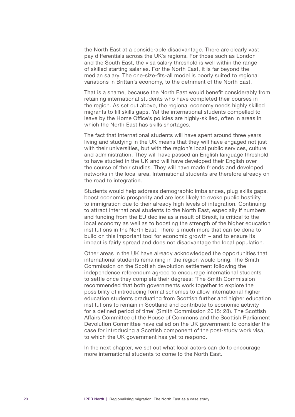the North East at a considerable disadvantage. There are clearly vast pay differentials across the UK's regions. For those such as London and the South East, the visa salary threshold is well within the range of skilled starting salaries. For the North East, it is far beyond the median salary. The one-size-fits-all model is poorly suited to regional variations in Brittan's economy, to the detriment of the North East.

That is a shame, because the North East would benefit considerably from retaining international students who have completed their courses in the region. As set out above, the regional economy needs highly skilled migrants to fill skills gaps. Yet the international students compelled to leave by the Home Office's policies are highly-skilled, often in areas in which the North East has skills shortages.

The fact that international students will have spent around three years living and studying in the UK means that they will have engaged not just with their universities, but with the region's local public services, culture and administration. They will have passed an English language threshold to have studied in the UK and will have developed their English over the course of their studies. They will have made friends and developed networks in the local area. International students are therefore already on the road to integration.

Students would help address demographic imbalances, plug skills gaps, boost economic prosperity and are less likely to evoke public hostility to immigration due to their already high levels of integration. Continuing to attract international students to the North East, especially if numbers and funding from the EU decline as a result of Brexit, is critical to the local economy as well as to boosting the strength of the higher education institutions in the North East. There is much more that can be done to build on this important tool for economic growth – and to ensure its impact is fairly spread and does not disadvantage the local population.

Other areas in the UK have already acknowledged the opportunities that international students remaining in the region would bring. The Smith Commission on the Scottish devolution settlement following the independence referendum agreed to encourage international students to settle once they complete their degrees: 'The Smith Commission recommended that both governments work together to explore the possibility of introducing formal schemes to allow international higher education students graduating from Scottish further and higher education institutions to remain in Scotland and contribute to economic activity for a defined period of time' (Smith Commission 2015: 28). The Scottish Affairs Committee of the House of Commons and the Scottish Parliament Devolution Committee have called on the UK government to consider the case for introducing a Scottish component of the post-study work visa, to which the UK government has yet to respond.

In the next chapter, we set out what local actors can do to encourage more international students to come to the North East.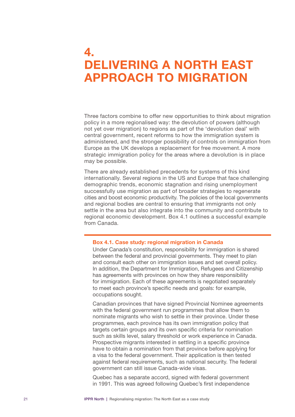## <span id="page-22-0"></span>4. DELIVERING A NORTH EAST APPROACH TO MIGRATION

Three factors combine to offer new opportunities to think about migration policy in a more regionalised way: the devolution of powers (although not yet over migration) to regions as part of the 'devolution deal' with central government, recent reforms to how the immigration system is administered, and the stronger possibility of controls on immigration from Europe as the UK develops a replacement for free movement. A more strategic immigration policy for the areas where a devolution is in place may be possible.

There are already established precedents for systems of this kind internationally. Several regions in the US and Europe that face challenging demographic trends, economic stagnation and rising unemployment successfully use migration as part of broader strategies to regenerate cities and boost economic productivity. The policies of the local governments and regional bodies are central to ensuring that immigrants not only settle in the area but also integrate into the community and contribute to regional economic development. Box 4.1 outlines a successful example from Canada.

#### Box 4.1. Case study: regional migration in Canada

Under Canada's constitution, responsibility for immigration is shared between the federal and provincial governments. They meet to plan and consult each other on immigration issues and set overall policy. In addition, the Department for Immigration, Refugees and Citizenship has agreements with provinces on how they share responsibility for immigration. Each of these agreements is negotiated separately to meet each province's specific needs and goals: for example, occupations sought.

Canadian provinces that have signed Provincial Nominee agreements with the federal government run programmes that allow them to nominate migrants who wish to settle in their province. Under these programmes, each province has its own immigration policy that targets certain groups and its own specific criteria for nomination such as skills level, salary threshold or work experience in Canada. Prospective migrants interested in settling in a specific province have to obtain a nomination from that province before applying for a visa to the federal government. Their application is then tested against federal requirements, such as national security. The federal government can still issue Canada-wide visas.

Quebec has a separate accord, signed with federal government in 1991. This was agreed following Quebec's first independence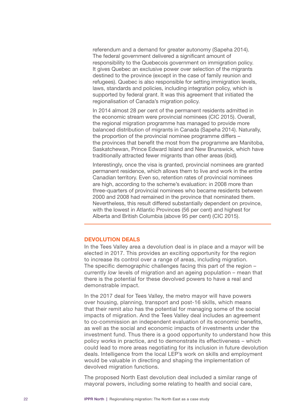<span id="page-23-0"></span>referendum and a demand for greater autonomy (Sapeha 2014). The federal government delivered a significant amount of responsibility to the Quebecois government on immigration policy. It gives Quebec an exclusive power over selection of the migrants destined to the province (except in the case of family reunion and refugees). Quebec is also responsible for setting immigration levels, laws, standards and policies, including integration policy, which is supported by federal grant. It was this agreement that initiated the regionalisation of Canada's migration policy.

In 2014 almost 28 per cent of the permanent residents admitted in the economic stream were provincial nominees (CIC 2015). Overall, the regional migration programme has managed to provide more balanced distribution of migrants in Canada (Sapeha 2014). Naturally, the proportion of the provincial nominee programme differs – the provinces that benefit the most from the programme are Manitoba, Saskatchewan, Prince Edward Island and New Brunswick, which have traditionally attracted fewer migrants than other areas (ibid)*.* 

Interestingly, once the visa is granted, provincial nominees are granted permanent residence, which allows them to live and work in the entire Canadian territory. Even so, retention rates of provincial nominees are high, according to the scheme's evaluation: in 2008 more than three-quarters of provincial nominees who became residents between 2000 and 2008 had remained in the province that nominated them. Nevertheless, this result differed substantially dependent on province, with the lowest in Atlantic Provinces (56 per cent) and highest for Alberta and British Columbia (above 95 per cent) (CIC 2015).

#### DEVOLUTION DEALS

In the Tees Valley area a devolution deal is in place and a mayor will be elected in 2017. This provides an exciting opportunity for the region to increase its control over a range of areas, including migration. The specific demographic challenges facing this part of the region – currently *low* levels of migration and an ageing population – mean that there is the potential for these devolved powers to have a real and demonstrable impact.

In the 2017 deal for Tees Valley, the metro mayor will have powers over housing, planning, transport and post-16 skills, which means that their remit *also* has the potential for managing some of the social impacts of migration. And the Tees Valley deal includes an agreement to co-commission an independent evaluation of its economic benefits, as well as the social and economic impacts of investments under the investment fund. Thus there is a good opportunity to understand how this policy works in practice, and to demonstrate its effectiveness – which could lead to more areas negotiating for its inclusion in future devolution deals. Intelligence from the local LEP's work on skills and employment would be valuable in directing and shaping the implementation of devolved migration functions.

The proposed North East devolution deal included a similar range of mayoral powers, including some relating to health and social care,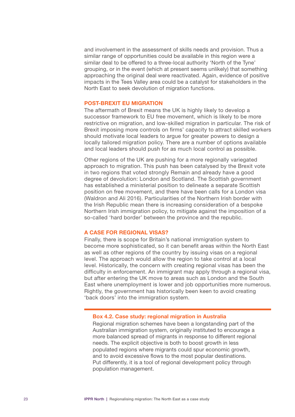<span id="page-24-0"></span>and involvement in the assessment of skills needs and provision. Thus a similar range of opportunities could be available in this region were a similar deal to be offered to a three-local authority 'North of the Tyne' grouping, or in the event (which at present seems unlikely) that something approaching the original deal were reactivated. Again, evidence of positive impacts in the Tees Valley area could be a catalyst for stakeholders in the North East to seek devolution of migration functions.

#### POST-BREXIT EU MIGRATION

The aftermath of Brexit means the UK is highly likely to develop a successor framework to EU free movement, which is likely to be more restrictive on migration, and low-skilled migration in particular. The risk of Brexit imposing more controls on firms' capacity to attract skilled workers should motivate local leaders to argue for greater powers to design a locally tailored migration policy. There are a number of options available and local leaders should push for as much local control as possible.

Other regions of the UK are pushing for a more regionally variegated approach to migration. This push has been catalysed by the Brexit vote in two regions that voted strongly Remain and already have a good degree of devolution: London and Scotland. The Scottish government has established a ministerial position to delineate a separate Scottish position on free movement, and there have been calls for a London visa (Waldron and Ali 2016). Particularities of the Northern Irish border with the Irish Republic mean there is increasing consideration of a bespoke Northern Irish immigration policy, to mitigate against the imposition of a so-called 'hard border' between the province and the republic.

#### A CASE FOR REGIONAL VISAS?

Finally, there is scope for Britain's national immigration system to become more sophisticated, so it can benefit areas within the North East as well as other regions of the country by issuing visas on a regional level. The approach would allow the region to take control at a local level. Historically, the concern with creating regional visas has been the difficulty in enforcement. An immigrant may apply through a regional visa, but after entering the UK move to areas such as London and the South East where unemployment is lower and job opportunities more numerous. Rightly, the government has historically been keen to avoid creating 'back doors' into the immigration system.

#### Box 4.2. Case study: regional migration in Australia

Regional migration schemes have been a longstanding part of the Australian immigration system, originally instituted to encourage a more balanced spread of migrants in response to different regional needs. The explicit objective is both to boost growth in less populated regions where migrants could spur economic growth, and to avoid excessive flows to the most popular destinations. Put differently, it is a tool of regional development policy through population management.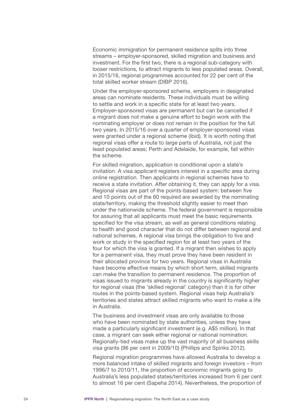Economic immigration for permanent residence splits into three streams – employer-sponsored, skilled migration and business and investment. For the first two, there is a regional sub-category with looser restrictions, to attract migrants to less populated areas. Overall, in 2015/16, regional programmes accounted for 22 per cent of the total skilled worker stream (DIBP 2016).

Under the employer-sponsored scheme, employers in designated areas can nominate residents. These individuals must be willing to settle and work in a specific state for at least two years. Employer-sponsored visas are permanent but can be cancelled if a migrant does not make a genuine effort to begin work with the nominating employer or does not remain in the position for the full two years. In 2015/16 over a quarter of employer-sponsored visas were granted under a regional scheme (ibid). It is worth noting that regional visas offer a route to large parts of Australia, not just the least populated areas; Perth and Adelaide, for example, fall within the scheme.

For skilled migration, application is conditional upon a state's invitation. A visa applicant registers interest in a specific area during online registration. Then applicants in regional schemes have to receive a state invitation. After obtaining it, they can apply for a visa. Regional visas are part of the points-based system: between five and 10 points out of the 60 required are awarded by the nominating state/territory, making the threshold slightly easier to meet than under the nationwide scheme. The federal government is responsible for assuring that all applicants must meet the basic requirements specified for the visa stream, as well as general conditions relating to health and good character that do not differ between regional and national schemes. A regional visa brings the obligation to live and work or study in the specified region for at least two years of the four for which the visa is granted. If a migrant then wishes to apply for a permanent visa, they must prove they have been resident in their allocated province for two years. Regional visas in Australia have become effective means by which short term, skilled migrants can make the transition to permanent residence. The proportion of visas issued to migrants already in the country is significantly higher for regional visas (the 'skilled regional' category) than it is for other routes in the points-based system. Regional visas help Australia's territories and states attract skilled migrants who want to make a life in Australia.

The business and investment visas are only available to those who have been nominated by state authorities, unless they have made a particularly significant investment (e.g. A\$5 million). In that case, a migrant can seek either regional or national nomination. Regionally-tied visas make up the vast majority of all business skills visa grants (96 per cent in 2009/10) (Phillips and Spinks 2012).

Regional migration programmes have allowed Australia to develop a more balanced intake of skilled migrants and foreign investors – from 1996/7 to 2010/11, the proportion of economic migrants going to Australia's less populated states/territories increased from 6 per cent to almost 16 per cent (Sapeha 2014). Nevertheless, the proportion of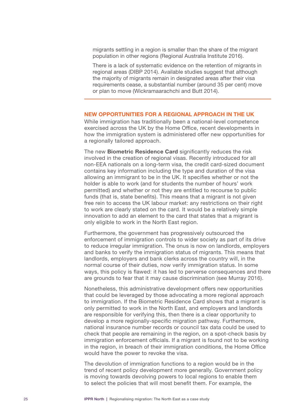<span id="page-26-0"></span>migrants settling in a region is smaller than the share of the migrant population in other regions (Regional Australia Institute 2016).

There is a lack of systematic evidence on the retention of migrants in regional areas (DIBP 2014). Available studies suggest that although the majority of migrants remain in designated areas after their visa requirements cease, a substantial number (around 35 per cent) move or plan to move (Wickramaarachchi and Butt 2014).

#### NEW OPPORTUNITIES FOR A REGIONAL APPROACH IN THE UK

While immigration has traditionally been a national-level competence exercised across the UK by the Home Office, recent developments in how the immigration system is administered offer new opportunities for a regionally tailored approach.

The new **Biometric Residence Card** significantly reduces the risk involved in the creation of regional visas. Recently introduced for all non-EEA nationals on a long-term visa, the credit card-sized document contains key information including the type and duration of the visa allowing an immigrant to be in the UK. It specifies whether or not the holder is able to work (and for students the number of hours' work permitted) and whether or not they are entitled to recourse to public funds (that is, state benefits). This means that a migrant is not given free rein to access the UK labour market: any restrictions on their right to work are clearly stated on the card. It would be a relatively simple innovation to add an element to the card that states that a migrant is only eligible to work in the North East region.

Furthermore, the government has progressively outsourced the enforcement of immigration controls to wider society as part of its drive to reduce irregular immigration. The onus is now on landlords, employers and banks to verify the immigration status of migrants. This means that landlords, employers and bank clerks across the country will, in the normal course of their duties, now verify immigration status. In some ways, this policy is flawed: it has led to perverse consequences and there are grounds to fear that it may cause discrimination (see Murray 2016).

Nonetheless, this administrative development offers new opportunities that could be leveraged by those advocating a more regional approach to immigration. If the Biometric Residence Card shows that a migrant is only permitted to work in the North East, and employers and landlords are responsible for verifying this, then there is a clear opportunity to develop a more regionally-specific migration pathway. Furthermore, national insurance number records or council tax data could be used to check that people are remaining in the region, on a spot-check basis by immigration enforcement officials. If a migrant is found not to be working in the region, in breach of their immigration conditions, the Home Office would have the power to revoke the visa.

The devolution of immigration functions to a region would be in the trend of recent policy development more generally. Government policy is moving towards devolving powers to local regions to enable them to select the policies that will most benefit them. For example, the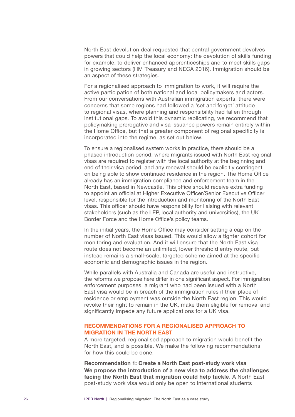<span id="page-27-0"></span>North East devolution deal requested that central government devolves powers that could help the local economy: the devolution of skills funding for example, to deliver enhanced apprenticeships and to meet skills gaps in growing sectors (HM Treasury and NECA 2016). Immigration should be an aspect of these strategies.

For a regionalised approach to immigration to work, it will require the active participation of both national and local policymakers and actors. From our conversations with Australian immigration experts, there were concerns that some regions had followed a 'set and forget' attitude to regional visas, where planning and responsibility had fallen through institutional gaps. To avoid this dynamic replicating, we recommend that policymaking prerogative and visa issuance powers remain entirely within the Home Office, but that a greater component of regional specificity is incorporated into the regime, as set out below.

To ensure a regionalised system works in practice, there should be a phased introduction period, where migrants issued with North East regional visas are required to register with the local authority at the beginning and end of their visa period, and any renewal should be explicitly contingent on being able to show continued residence in the region. The Home Office already has an immigration compliance and enforcement team in the North East, based in Newcastle. This office should receive extra funding to appoint an official at Higher Executive Officer/Senior Executive Officer level, responsible for the introduction and monitoring of the North East visas. This officer should have responsibility for liaising with relevant stakeholders (such as the LEP, local authority and universities), the UK Border Force and the Home Office's policy teams.

In the initial years, the Home Office may consider setting a cap on the number of North East visas issued. This would allow a tighter cohort for monitoring and evaluation. And it will ensure that the North East visa route does not become an unlimited, lower threshold entry route, but instead remains a small-scale, targeted scheme aimed at the specific economic and demographic issues in the region.

While parallels with Australia and Canada are useful and instructive, the reforms we propose here differ in one significant aspect. For immigration enforcement purposes, a migrant who had been issued with a North East visa would be in breach of the immigration rules if their place of residence or employment was outside the North East region. This would revoke their right to remain in the UK, make them eligible for removal and significantly impede any future applications for a UK visa.

#### RECOMMENDATIONS FOR A REGIONALISED APPROACH TO MIGRATION IN THE NORTH EAST

A more targeted, regionalised approach to migration would benefit the North East, and is possible. We make the following recommendations for how this could be done.

Recommendation 1: Create a North East post-study work visa We propose the introduction of a new visa to address the challenges facing the North East that migration could help tackle. A North East post-study work visa would only be open to international students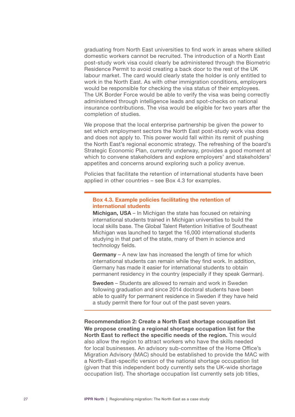graduating from North East universities to find work in areas where skilled domestic workers cannot be recruited. The introduction of a North East post-study work visa could clearly be administered through the Biometric Residence Permit to avoid creating a back door to the rest of the UK labour market. The card would clearly state the holder is only entitled to work in the North East. As with other immigration conditions, employers would be responsible for checking the visa status of their employees. The UK Border Force would be able to verify the visa was being correctly administered through intelligence leads and spot-checks on national insurance contributions. The visa would be eligible for two years after the completion of studies.

We propose that the local enterprise partnership be given the power to set which employment sectors the North East post-study work visa does and does not apply to. This power would fall within its remit of pushing the North East's regional economic strategy. The refreshing of the board's Strategic Economic Plan, currently underway, provides a good moment at which to convene stakeholders and explore employers' and stakeholders' appetites and concerns around exploring such a policy avenue.

Policies that facilitate the retention of international students have been applied in other countries – see Box 4.3 for examples.

#### Box 4.3. Example policies facilitating the retention of international students

Michigan, USA – In Michigan the state has focused on retaining international students trained in Michigan universities to build the local skills base. The Global Talent Retention Initiative of Southeast Michigan was launched to target the 16,000 international students studying in that part of the state, many of them in science and technology fields.

Germany – A new law has increased the length of time for which international students can remain while they find work. In addition, Germany has made it easier for international students to obtain permanent residency in the country (especially if they speak German).

Sweden – Students are allowed to remain and work in Sweden following graduation and since 2014 doctoral students have been able to qualify for permanent residence in Sweden if they have held a study permit there for four out of the past seven years.

Recommendation 2: Create a North East shortage occupation list We propose creating a regional shortage occupation list for the North East to reflect the specific needs of the region. This would also allow the region to attract workers who have the skills needed for local businesses. An advisory sub-committee of the Home Office's Migration Advisory (MAC) should be established to provide the MAC with a North-East-specific version of the national shortage occupation list (given that this independent body currently sets the UK-wide shortage occupation list). The shortage occupation list currently sets job titles,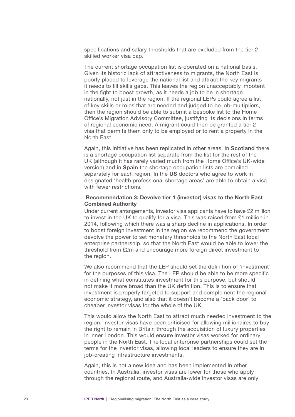specifications and salary thresholds that are excluded from the tier 2 skilled worker visa cap.

The current shortage occupation list is operated on a national basis. Given its historic lack of attractiveness to migrants, the North East is poorly placed to leverage the national list and attract the key migrants it needs to fill skills gaps. This leaves the region unacceptably impotent in the fight to boost growth, as it needs a job to be in shortage nationally, not just in the region. If the regional LEPs could agree a list of key skills or roles that are needed and judged to be job-multipliers, then the region should be able to submit a bespoke list to the Home Office's Migration Advisory Committee, justifying its decisions in terms of regional economic need. A migrant could then be granted a tier 2 visa that permits them only to be employed or to rent a property in the North East.

Again, this initiative has been replicated in other areas. In Scotland there is a shortage occupation list separate from the list for the rest of the UK (although it has rarely varied much from the Home Office's UK-wide version) and in Spain the shortage occupation lists are compiled separately for each region. In the US doctors who agree to work in designated 'health professional shortage areas' are able to obtain a visa with fewer restrictions.

#### Recommendation 3: Devolve tier 1 (investor) visas to the North East Combined Authority

Under current arrangements, investor visa applicants have to have £2 million to invest in the UK to qualify for a visa. This was raised from £1 million in 2014, following which there was a sharp decline in applications. In order to boost foreign investment in the region we recommend the government devolve the power to set monetary thresholds to the North East local enterprise partnership, so that the North East would be able to lower the threshold from £2m and encourage more foreign direct investment to the region.

We also recommend that the LEP should set the definition of 'investment' for the purposes of this visa. The LEP should be able to be more specific in defining what constitutes investment for this purpose, but should not make it more broad than the UK definition. This is to ensure that investment is properly targeted to support and complement the regional economic strategy, and also that it doesn't become a 'back door' to cheaper investor visas for the whole of the UK.

This would allow the North East to attract much needed investment to the region. Investor visas have been criticised for allowing millionaires to buy the right to remain in Britain through the acquisition of luxury properties in inner London. This would ensure investor visas worked for ordinary people in the North East. The local enterprise partnerships could set the terms for the investor visas, allowing local leaders to ensure they are in job-creating infrastructure investments.

Again, this is not a new idea and has been implemented in other countries. In Australia, investor visas are lower for those who apply through the regional route, and Australia-wide investor visas are only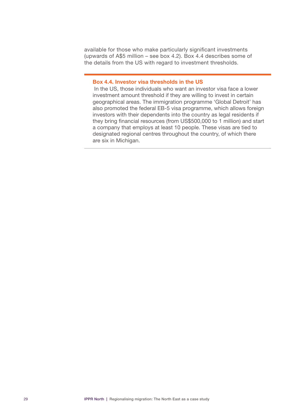available for those who make particularly significant investments (upwards of A\$5 million – see box 4.2). Box 4.4 describes some of the details from the US with regard to investment thresholds.

#### Box 4.4. Investor visa thresholds in the US

In the US, those individuals who want an investor visa face a lower investment amount threshold if they are willing to invest in certain geographical areas. The immigration programme 'Global Detroit' has also promoted the federal EB-5 visa programme, which allows foreign investors with their dependents into the country as legal residents if they bring financial resources (from US\$500,000 to 1 million) and start a company that employs at least 10 people. These visas are tied to designated regional centres throughout the country, of which there are six in Michigan.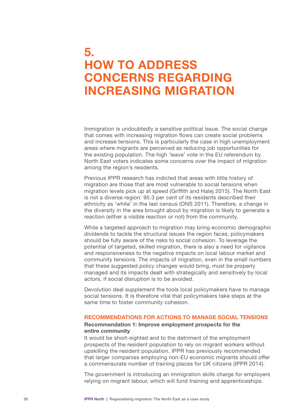### <span id="page-31-0"></span>5. HOW TO ADDRESS CONCERNS REGARDING INCREASING MIGRATION

Immigration is undoubtedly a sensitive political issue. The social change that comes with increasing migration flows can create social problems and increase tensions. This is particularly the case in high unemployment areas where migrants are perceived as reducing job opportunities for the existing population. The high 'leave' vote in the EU referendum by North East voters indicates some concerns over the impact of migration among the region's residents.

Previous IPPR research has indicted that areas with little history of migration are those that are most vulnerable to social tensions when migration levels pick up at speed (Griffith and Halej 2015). The North East is not a diverse region: 95.3 per cent of its residents described their ethnicity as 'white' in the last census (ONS 2011). Therefore, a change in the diversity in the area brought about by migration is likely to generate a reaction (either a visible reaction or not) from the community.

While a targeted approach to migration may bring economic demographic dividends to tackle the structural issues the region faces, policymakers should be fully aware of the risks to social cohesion. To leverage the potential of targeted, skilled migration, there is also a need for vigilance and responsiveness to the negative impacts on local labour market and community tensions. The impacts of migration, even in the small numbers that these suggested policy changes would bring, must be properly managed and its impacts dealt with strategically and sensitively by local actors, if social disruption is to be avoided.

Devolution deal supplement the tools local policymakers have to manage social tensions. It is therefore vital that policymakers take steps at the same time to foster community cohesion.

#### RECOMMENDATIONS FOR ACTIONS TO MANAGE SOCIAL TENSIONS

#### Recommendation 1: Improve employment prospects for the entire community

It would be short-sighted and to the detriment of the employment prospects of the resident population to rely on migrant workers without upskilling the resident population. IPPR has previously recommended that larger companies employing non-EU economic migrants should offer a commensurate number of training places for UK citizens (IPPR 2014).

The government is introducing an immigration skills charge for employers relying on migrant labour, which will fund training and apprenticeships.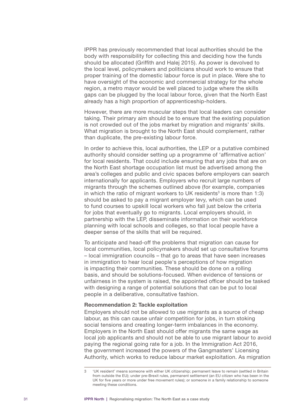IPPR has previously recommended that local authorities should be the body with responsibility for collecting this and deciding how the funds should be allocated (Griffith and Halej 2015). As power is devolved to the local level, policymakers and politicians should work to ensure that proper training of the domestic labour force is put in place. Were she to have oversight of the economic and commercial strategy for the whole region, a metro mayor would be well placed to judge where the skills gaps can be plugged by the local labour force, given that the North East already has a high proportion of apprenticeship-holders.

However, there are more muscular steps that local leaders can consider taking. Their primary aim should be to ensure that the existing population is not crowded out of the jobs market by migration and migrants' skills. What migration is brought to the North East should complement, rather than duplicate, the pre-existing labour force.

In order to achieve this, local authorities, the LEP or a putative combined authority should consider setting up a programme of 'affirmative action' for local residents. That could include ensuring that any jobs that are on the North East shortage occupation list must be advertised among the area's colleges and public and civic spaces before employers can search internationally for applicants. Employers who recruit large numbers of migrants through the schemes outlined above (for example, companies in which the ratio of migrant workers to UK residents<sup>3</sup> is more than 1:3) should be asked to pay a migrant employer levy, which can be used to fund courses to upskill local workers who fall just below the criteria for jobs that eventually go to migrants. Local employers should, in partnership with the LEP, disseminate information on their workforce planning with local schools and colleges, so that local people have a deeper sense of the skills that will be required.

To anticipate and head-off the problems that migration can cause for local communities, local policymakers should set up consultative forums – local immigration councils – that go to areas that have seen increases in immigration to hear local people's perceptions of how migration is impacting their communities. These should be done on a rolling basis, and should be solutions-focused. When evidence of tensions or unfairness in the system is raised, the appointed officer should be tasked with designing a range of potential solutions that can be put to local people in a deliberative, consultative fashion.

#### Recommendation 2: Tackle exploitation

Employers should not be allowed to use migrants as a source of cheap labour, as this can cause unfair competition for jobs, in turn stoking social tensions and creating longer-term imbalances in the economy. Employers in the North East should offer migrants the same wage as local job applicants and should not be able to use migrant labour to avoid paying the regional going rate for a job. In the Immigration Act 2016, the government increased the powers of the Gangmasters' Licensing Authority, which works to reduce labour market exploitation. As migration

<sup>3</sup> 'UK resident' means someone with either UK citizenship; permanent leave to remain (settled in Britain from outside the EU); under pre-Brexit rules, permanent settlement (an EU citizen who has been in the UK for five years or more under free movement rules); or someone in a family relationship to someone meeting these conditions.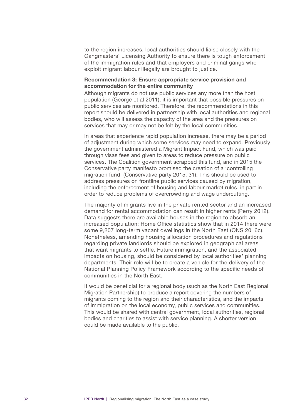to the region increases, local authorities should liaise closely with the Gangmasters' Licensing Authority to ensure there is tough enforcement of the immigration rules and that employers and criminal gangs who exploit migrant labour illegally are brought to justice.

#### Recommendation 3: Ensure appropriate service provision and accommodation for the entire community

Although migrants do not use public services any more than the host population (George et al 2011), it is important that possible pressures on public services are monitored. Therefore, the recommendations in this report should be delivered in partnership with local authorities and regional bodies, who will assess the capacity of the area and the pressures on services that may or may not be felt by the local communities.

In areas that experience rapid population increase, there may be a period of adjustment during which some services may need to expand. Previously the government administered a Migrant Impact Fund, which was paid through visas fees and given to areas to reduce pressure on public services. The Coalition government scrapped this fund, and in 2015 the Conservative party manifesto promised the creation of a 'controlling migration fund' (Conservative party 2015: 31). This should be used to address pressures on frontline public services caused by migration, including the enforcement of housing and labour market rules, in part in order to reduce problems of overcrowding and wage undercutting.

The majority of migrants live in the private rented sector and an increased demand for rental accommodation can result in higher rents (Perry 2012). Data suggests there are available houses in the region to absorb an increased population: Home Office statistics show that in 2014 there were some 9,207 long-term vacant dwellings in the North East (ONS 2016c). Nonetheless, amending housing allocation procedures and regulations regarding private landlords should be explored in geographical areas that want migrants to settle. Future immigration, and the associated impacts on housing, should be considered by local authorities' planning departments. Their role will be to create a vehicle for the delivery of the National Planning Policy Framework according to the specific needs of communities in the North East.

It would be beneficial for a regional body (such as the North East Regional Migration Partnership) to produce a report covering the numbers of migrants coming to the region and their characteristics, and the impacts of immigration on the local economy, public services and communities. This would be shared with central government, local authorities, regional bodies and charities to assist with service planning. A shorter version could be made available to the public.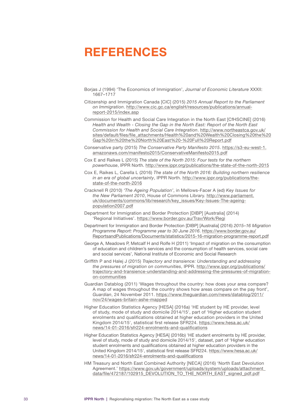## <span id="page-34-0"></span>REFERENCES

- Borjas J (1994) 'The Economics of Immigration', *Journal of Economic Literature* XXXII: 1667–1717
- Citizenship and Immigration Canada [CIC] (2015) *2015 Annual Report to the Parliament on Immigration*. [http://www.cic.gc.ca/englisH/resources/publications/annual](http://www.cic.gc.ca/englisH/resources/publications/annual-report-2015/index.asp)[report-2015/index.asp](http://www.cic.gc.ca/englisH/resources/publications/annual-report-2015/index.asp)
- Commission for Health and Social Care Integration in the North East [CfHSCINE] (2016) *Health and Wealth - Closing the Gap in the North East: Report of the North East Commission for Health and Social Care Integration*. [http://www.northeastca.gov.uk/](http://www.northeastca.gov.uk/sites/default/files/file_attachments/Health and Wealth Closing the Gap in the North East - Full Report.pdf) [sites/default/files/file\\_attachments/Health%20and%20Wealth%20Closing%20the%20](http://www.northeastca.gov.uk/sites/default/files/file_attachments/Health and Wealth Closing the Gap in the North East - Full Report.pdf) [Gap%20in%20the%20North%20East%20-%20Full%20Report.pdf](http://www.northeastca.gov.uk/sites/default/files/file_attachments/Health and Wealth Closing the Gap in the North East - Full Report.pdf)
- Conservative party (2015) *The Conservative Party Manifesto 2015*. [https://s3-eu-west-1.](https://s3-eu-west-1.amazonaws.com/manifesto2015/ConservativeManifesto2015.pdf) [amazonaws.com/manifesto2015/ConservativeManifesto2015.pdf](https://s3-eu-west-1.amazonaws.com/manifesto2015/ConservativeManifesto2015.pdf)
- Cox E and Raikes L (2015) *The state of the North 2015: Four tests for the northern powerhouse*, IPPR North. <http://www.ippr.org/publications/the-state-of-the-north-2015>
- Cox E, Raikes L, Carella L (2016) *The state of the North 2016: Building northern resilience in an era of global uncertainty*, IPPR North. [http://www.ippr.org/publications/the](http://www.ippr.org/publications/the-state-of-the-north-2016)[state-of-the-north-2016](http://www.ippr.org/publications/the-state-of-the-north-2016)
- Cracknell R (2010) *'The Ageing Population'*, in Mellows-Facer A (ed) *Key Issues for the New Parliament 2010*, House of Commons Library. [http://www.parliament.](http://www.parliament.uk/documents/commons/lib/research/key_issues/Key-Issues-The-ageing-population2007.pdf) [uk/documents/commons/lib/research/key\\_issues/Key-Issues-The-ageing](http://www.parliament.uk/documents/commons/lib/research/key_issues/Key-Issues-The-ageing-population2007.pdf)[population2007.pdf](http://www.parliament.uk/documents/commons/lib/research/key_issues/Key-Issues-The-ageing-population2007.pdf)
- Department for Immigration and Border Protection [DIBP] [Australia] (2014) 'Regional Initiatives'. <https://www.border.gov.au/Trav/Work/Regi>
- Department for Immigration and Border Protection [DIBP] [Australia] (2016) *2015–16 Migration Programme Report: Programme year to 30 June 2016*. [https://www.border.gov.au/](https://www.border.gov.au/ReportsandPublications/Documents/statistics/2015-16-migration-programme-report.pdf) [ReportsandPublications/Documents/statistics/2015-16-migration-programme-report.pdf](https://www.border.gov.au/ReportsandPublications/Documents/statistics/2015-16-migration-programme-report.pdf)
- George A, Meadows P, Metcalf H and Rolfe H (2011) 'Impact of migration on the consumption of education and children's services and the consumption of health services, social care and social services', National Institute of Economic and Social Research
- Griffith P and Halej J (2015) *Trajectory and transience: Understanding and addressing the pressures of migration on communities*, IPPR. [http://www.ippr.org/publications/](http://www.ippr.org/publications/trajectory-and-transience-understanding-and-addressing-the-pressures-of-migration-on-communities) [trajectory-and-transience-understanding-and-addressing-the-pressures-of-migration](http://www.ippr.org/publications/trajectory-and-transience-understanding-and-addressing-the-pressures-of-migration-on-communities)[on-communities](http://www.ippr.org/publications/trajectory-and-transience-understanding-and-addressing-the-pressures-of-migration-on-communities)
- Guardian Datablog (2011) 'Wages throughout the country: how does your area compare? A map of wages throughout the country shows how areas compare on the pay front', *Guardian*, 24 November 2011. [https://www.theguardian.com/news/datablog/2011/](https://www.theguardian.com/news/datablog/2011/nov/24/wages-britain-ashe-mapped) [nov/24/wages-britain-ashe-mapped](https://www.theguardian.com/news/datablog/2011/nov/24/wages-britain-ashe-mapped)
- Higher Education Statistics Agency [HESA] (2016a) 'HE student by HE provider, level of study, mode of study and domicile 2014/15', part of 'Higher education student enrolments and qualifications obtained at higher education providers in the United Kingdom 2014/15', statistical first release SFR224. [https://www.hesa.ac.uk/](https://www.hesa.ac.uk/news/14-01-2016/sfr224-enrolments-and-qualifications) [news/14-01-2016/sfr224-enrolments-and-qualifications](https://www.hesa.ac.uk/news/14-01-2016/sfr224-enrolments-and-qualifications)
- Higher Education Statistics Agency [HESA] (2016b) 'HE student enrolments by HE provider, level of study, mode of study and domicile 2014/15', dataset, part of 'Higher education student enrolments and qualifications obtained at higher education providers in the United Kingdom 2014/15', statistical first release SFR224. [https://www.hesa.ac.uk/](https://www.hesa.ac.uk/news/14-01-2016/sfr224-enrolments-and-qualifications) [news/14-01-2016/sfr224-enrolments-and-qualifications](https://www.hesa.ac.uk/news/14-01-2016/sfr224-enrolments-and-qualifications)
- HM Treasury and North East Combined Authority [NECA] (2016) 'North East Devolution Agreement.' [https://www.gov.uk/government/uploads/system/uploads/attachment\\_](https://www.gov.uk/government/uploads/system/uploads/attachment_data/file/472187/102915_DEVOLUTION_TO_THE_NORTH_EAST_signed_pdf.pdf) [data/file/472187/102915\\_DEVOLUTION\\_TO\\_THE\\_NORTH\\_EAST\\_signed\\_pdf.pdf](https://www.gov.uk/government/uploads/system/uploads/attachment_data/file/472187/102915_DEVOLUTION_TO_THE_NORTH_EAST_signed_pdf.pdf)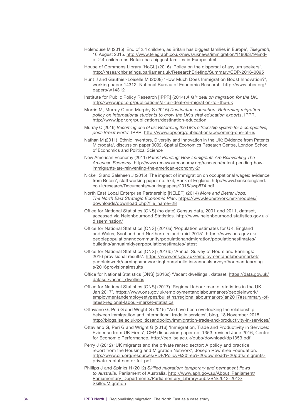- Holehouse M (2015) 'End of 2.4 children, as Britain has biggest families in Europe', *Telegraph*, 16 August 2015. [http://www.telegraph.co.uk/news/uknews/immigration/11806379/End](http://www.telegraph.co.uk/news/uknews/immigration/11806379/End-of-2.4-children-as-Britain-has-biggest-families-in-Europe.html)[of-2.4-children-as-Britain-has-biggest-families-in-Europe.html](http://www.telegraph.co.uk/news/uknews/immigration/11806379/End-of-2.4-children-as-Britain-has-biggest-families-in-Europe.html)
- House of Commons Library [HoCL] (2016) 'Policy on the dispersal of asylum seekers'. <http://researchbriefings.parliament.uk/ResearchBriefing/Summary/CDP-2016-0095>
- Hunt J and Gauthier-Loiselle M (2008) 'How Much Does Immigration Boost Innovation?', working paper 14312, National Bureau of Economic Research. [http://www.nber.org/](http://www.nber.org/papers/w14312) [papers/w14312](http://www.nber.org/papers/w14312)
- Institute for Public Policy Research [IPPR] (2014) *A fair deal on migration for the UK*. <http://www.ippr.org/publications/a-fair-deal-on-migration-for-the-uk>
- Morris M, Murray C and Murphy S (2016) *Destination education: Reforming migration policy on international students to grow the UK's vital education exports*, IPPR. <http://www.ippr.org/publications/destination-education>
- Murray C (2016) *Becoming one of us: Reforming the UK's citizenship system for a competitive, post-Brexit world*, IPPR. <http://www.ippr.org/publications/becoming-one-of-us>
- Nathan M (2011) 'Ethnic Inventors, Diversity and Innovation in the UK: Evidence from Patents Microdata', discussion paper 0092, Spatial Economics Research Centre, London School of Economics and Political Science
- New American Economy (2011) *Patent Pending: How Immigrants Are Reinventing The American Economy*. [http://www.renewoureconomy.org/research/patent-pending-how](http://www.renewoureconomy.org/research/patent-pending-how-immigrants-are-reinventing-the-american-economy-2/)[immigrants-are-reinventing-the-american-economy-2/](http://www.renewoureconomy.org/research/patent-pending-how-immigrants-are-reinventing-the-american-economy-2/)
- Nickell S and Saleheen J (2015) 'The impact of immigration on occupational wages: evidence from Britain', staff working paper no. 574, Bank of England. [http://www.bankofengland.](http://www.bankofengland.co.uk/research/Documents/workingpapers/2015/swp574.pdf) [co.uk/research/Documents/workingpapers/2015/swp574.pdf](http://www.bankofengland.co.uk/research/Documents/workingpapers/2015/swp574.pdf)
- North East Local Enterprise Partnership [NELEP] (2014) *More and Better Jobs: The North East Strategic Economic Plan*. [https://www.lepnetwork.net/modules/](https://www.lepnetwork.net/modules/downloads/download.php?file_name=28) [downloads/download.php?file\\_name=28](https://www.lepnetwork.net/modules/downloads/download.php?file_name=28)
- Office for National Statistics [ONS] (no date) Census data, 2001 and 2011, dataset, accessed via Neighbourhood Statistics. [http://www.neighbourhood.statistics.gov.uk/](http://www.neighbourhood.statistics.gov.uk/dissemination/) [dissemination/](http://www.neighbourhood.statistics.gov.uk/dissemination/)
- Office for National Statistics [ONS] (2016a) 'Population estimates for UK, England and Wales, Scotland and Northern Ireland: mid-2015'. [https://www.ons.gov.uk/](https://www.ons.gov.uk/peoplepopulationandcommunity/populationandmigration/populationestimates/bulletins/annualmidyearpopulationestimates/latest) [peoplepopulationandcommunity/populationandmigration/populationestimates/](https://www.ons.gov.uk/peoplepopulationandcommunity/populationandmigration/populationestimates/bulletins/annualmidyearpopulationestimates/latest) [bulletins/annualmidyearpopulationestimates/latest](https://www.ons.gov.uk/peoplepopulationandcommunity/populationandmigration/populationestimates/bulletins/annualmidyearpopulationestimates/latest)
- Office for National Statistics [ONS] (2016b) 'Annual Survey of Hours and Earnings: 2016 provisional results'. [https://www.ons.gov.uk/employmentandlabourmarket/](https://www.ons.gov.uk/employmentandlabourmarket/peopleinwork/earningsandworkinghours/bulletins/annualsurveyofhoursandearnings/2016provisionalresults) [peopleinwork/earningsandworkinghours/bulletins/annualsurveyofhoursandearning](https://www.ons.gov.uk/employmentandlabourmarket/peopleinwork/earningsandworkinghours/bulletins/annualsurveyofhoursandearnings/2016provisionalresults) [s/2016provisionalresults](https://www.ons.gov.uk/employmentandlabourmarket/peopleinwork/earningsandworkinghours/bulletins/annualsurveyofhoursandearnings/2016provisionalresults)
- Office for National Statistics [ONS] (2016c) 'Vacant dwellings', dataset. [https://data.gov.uk/](https://data.gov.uk/dataset/vacant_dwellings) [dataset/vacant\\_dwellings](https://data.gov.uk/dataset/vacant_dwellings)
- Office for National Statistics [ONS] (2017) 'Regional labour market statistics in the UK, Jan 2017'. [https://www.ons.gov.uk/employmentandlabourmarket/peopleinwork/](https://www.ons.gov.uk/employmentandlabourmarket/peopleinwork/employmentandemployeetypes/bulletins/regionallabourmarket/jan2017#summary-of-latest-regional-labour-market-statistics) [employmentandemployeetypes/bulletins/regionallabourmarket/jan2017#summary-of](https://www.ons.gov.uk/employmentandlabourmarket/peopleinwork/employmentandemployeetypes/bulletins/regionallabourmarket/jan2017#summary-of-latest-regional-labour-market-statistics)[latest-regional-labour-market-statistics](https://www.ons.gov.uk/employmentandlabourmarket/peopleinwork/employmentandemployeetypes/bulletins/regionallabourmarket/jan2017#summary-of-latest-regional-labour-market-statistics)
- Ottaviano G, Peri G and Wright G (2015) 'We have been overlooking the relationship between immigration and international trade in services', blog, 18 November 2015. <http://blogs.lse.ac.uk/politicsandpolicy/immigration-trade-and-productivity-in-services/>
- Ottaviano G, Peri G and Wright G (2016) 'Immigration, Trade and Productivity in Services: Evidence from UK Firms', CEP discussion paper no. 1353, revised June 2016, Centre for Economic Performance.<http://cep.lse.ac.uk/pubs/download/dp1353.pdf>
- Perry J (2012) 'UK migrants and the private rented sector: A policy and practice report from the Housing and Migration Network', Joseph Rowntree Foundation. [http://www.cih.org/resources/PDF/Policy%20free%20download%20pdfs/migrants](http://www.cih.org/resources/PDF/Policy free download pdfs/migrants-private-rental-sector-full.pdf)[private-rental-sector-full.pdf](http://www.cih.org/resources/PDF/Policy free download pdfs/migrants-private-rental-sector-full.pdf)
- Phillips J and Spinks H (2012) *Skilled migration: temporary and permanent flows to Australia,* Parliament of Australia. [http://www.aph.gov.au/About\\_Parliament/](http://www.aph.gov.au/About_Parliament/Parliamentary_Departments/Parliamentary_Library/pubs/BN/2012-2013/SkilledMigration) [Parliamentary\\_Departments/Parliamentary\\_Library/pubs/BN/2012-2013/](http://www.aph.gov.au/About_Parliament/Parliamentary_Departments/Parliamentary_Library/pubs/BN/2012-2013/SkilledMigration) **[SkilledMigration](http://www.aph.gov.au/About_Parliament/Parliamentary_Departments/Parliamentary_Library/pubs/BN/2012-2013/SkilledMigration)**